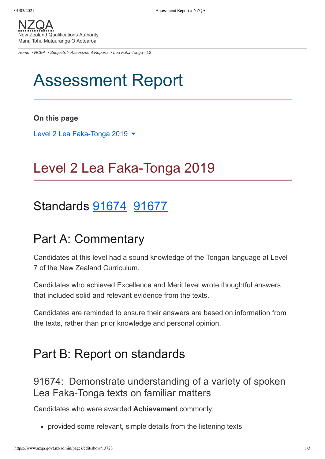[NZQA](https://www.nzqa.govt.nz/) New Zealand Qualifications Authority Mana Tohu Matauranga O Aotearoa

*[Home](https://www.nzqa.govt.nz/home) > [NCEA](https://www.nzqa.govt.nz/ncea/?stage=Stage) > [Subjects](https://www.nzqa.govt.nz/ncea/subjects/?stage=Stage) > [Assessment Reports](https://www.nzqa.govt.nz/ncea/subjects/assessment-reports/?stage=Stage) > Lea Faka-Tonga - L2*

# Assessment Report

#### **On this page**

Level 2 Lea [Faka-Tonga](https://www.nzqa.govt.nz/ncea/subjects/assessment-reports/tongan-l2/?stage=Stage&CMSPreview=1#heading2-0) 2019 ▼

## Level 2 Lea Faka-Tonga 2019

### Standards **91674** [91677](https://www.nzqa.govt.nz/ncea/subjects/assessment-reports/tongan-l2/?stage=Stage&CMSPreview=1#91677)

### Part A: Commentary

Candidates at this level had a sound knowledge of the Tongan language at Level 7 of the New Zealand Curriculum.

Candidates who achieved Excellence and Merit level wrote thoughtful answers that included solid and relevant evidence from the texts.

Candidates are reminded to ensure their answers are based on information from the texts, rather than prior knowledge and personal opinion.

### Part B: Report on standards

91674: Demonstrate understanding of a variety of spoken Lea Faka-Tonga texts on familiar matters

Candidates who were awarded **Achievement** commonly:

provided some relevant, simple details from the listening texts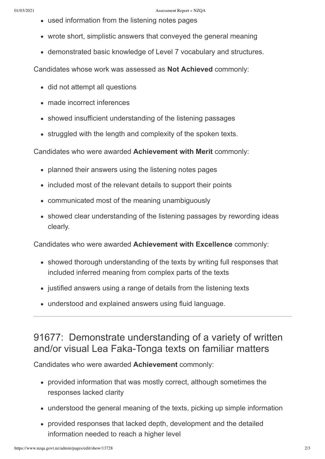- used information from the listening notes pages
- wrote short, simplistic answers that conveyed the general meaning
- demonstrated basic knowledge of Level 7 vocabulary and structures.

Candidates whose work was assessed as **Not Achieved** commonly:

- did not attempt all questions
- made incorrect inferences
- showed insufficient understanding of the listening passages
- struggled with the length and complexity of the spoken texts.

Candidates who were awarded **Achievement with Merit** commonly:

- planned their answers using the listening notes pages
- included most of the relevant details to support their points
- communicated most of the meaning unambiguously
- showed clear understanding of the listening passages by rewording ideas clearly.

Candidates who were awarded **Achievement with Excellence** commonly:

- showed thorough understanding of the texts by writing full responses that included inferred meaning from complex parts of the texts
- justified answers using a range of details from the listening texts
- understood and explained answers using fluid language.

#### 91677: Demonstrate understanding of a variety of written and/or visual Lea Faka-Tonga texts on familiar matters

Candidates who were awarded **Achievement** commonly:

- provided information that was mostly correct, although sometimes the responses lacked clarity
- understood the general meaning of the texts, picking up simple information
- provided responses that lacked depth, development and the detailed information needed to reach a higher level